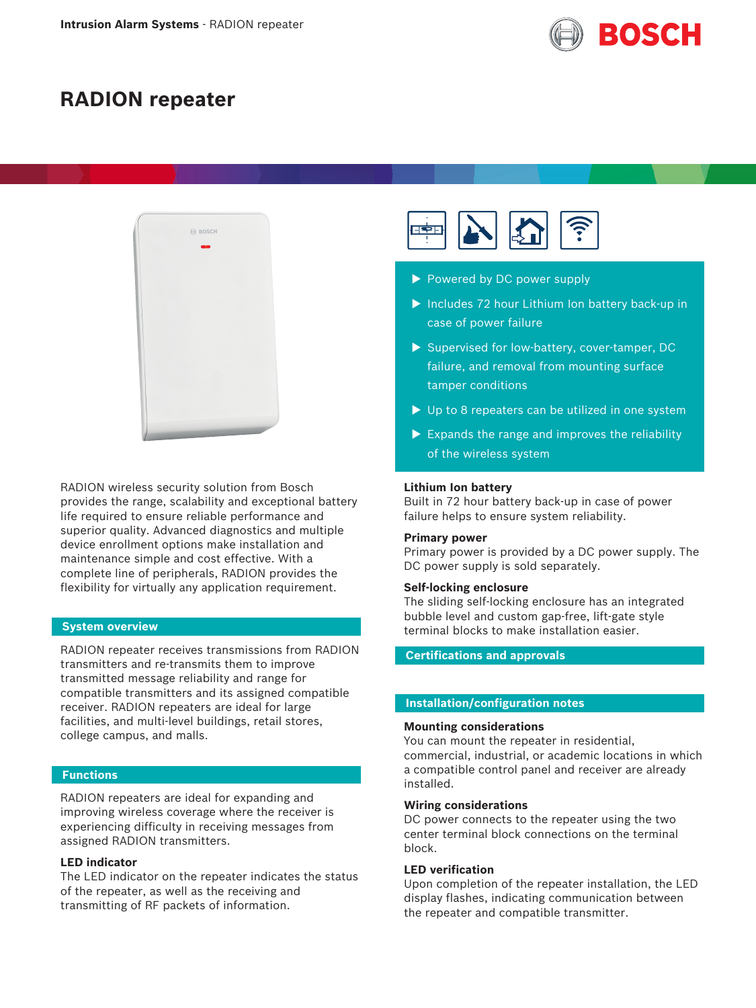

# **RADION repeater**



RADION wireless security solution from Bosch provides the range, scalability and exceptional battery life required to ensure reliable performance and superior quality. Advanced diagnostics and multiple device enrollment options make installation and maintenance simple and cost effective. With a complete line of peripherals, RADION provides the flexibility for virtually any application requirement.

## **System overview**

RADION repeater receives transmissions from RADION transmitters and re-transmits them to improve transmitted message reliability and range for compatible transmitters and its assigned compatible receiver. RADION repeaters are ideal for large facilities, and multi-level buildings, retail stores, college campus, and malls.

# **Functions**

RADION repeaters are ideal for expanding and improving wireless coverage where the receiver is experiencing difficulty in receiving messages from assigned RADION transmitters.

# **LED indicator**

The LED indicator on the repeater indicates the status of the repeater, as well as the receiving and transmitting of RF packets of information.



- Powered by DC power supply
- $\blacktriangleright$  Includes 72 hour Lithium Ion battery back-up in case of power failure
- $\triangleright$  Supervised for low-battery, cover-tamper, DC failure, and removal from mounting surface tamper conditions
- $\triangleright$  Up to 8 repeaters can be utilized in one system
- $\blacktriangleright$  Expands the range and improves the reliability of the wireless system

#### **Lithium Ion battery**

Built in 72 hour battery back-up in case of power failure helps to ensure system reliability.

#### **Primary power**

Primary power is provided by a DC power supply. The DC power supply is sold separately.

### **Self-locking enclosure**

The sliding self‑locking enclosure has an integrated bubble level and custom gap-free, lift-gate style terminal blocks to make installation easier.

**Certifications and approvals**

# **Installation/configuration notes**

#### **Mounting considerations**

You can mount the repeater in residential, commercial, industrial, or academic locations in which a compatible control panel and receiver are already installed.

#### **Wiring considerations**

DC power connects to the repeater using the two center terminal block connections on the terminal block.

# **LED verification**

Upon completion of the repeater installation, the LED display flashes, indicating communication between the repeater and compatible transmitter.